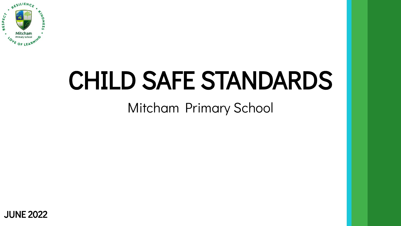

# CHILD SAFE STANDARDS

Mitcham Primary School

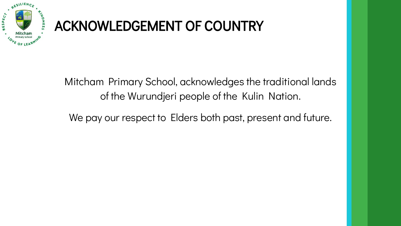

# ACKNOWLEDGEMENT OF COUNTRY

Mitcham Primary School, acknowledges the traditional lands of the Wurundjeri people of the Kulin Nation.

We pay our respect to Elders both past, present and future.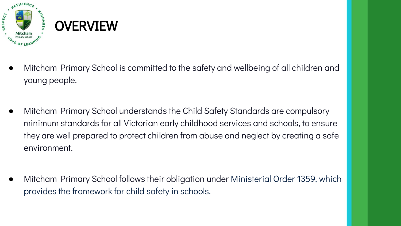

- Mitcham Primary School is committed to the safety and wellbeing of all children and young people.
- Mitcham Primary School understands the Child Safety Standards are compulsory minimum standards for all Victorian early childhood services and schools, to ensure they are well prepared to protect children from abuse and neglect by creating a safe environment.
- Mitcham Primary School follows their obligation under Ministerial Order 1359, which provides the framework for child safety in schools.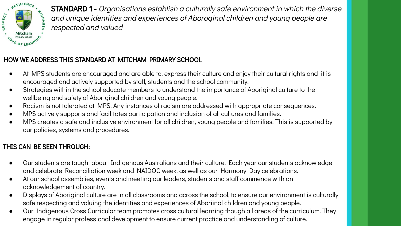

STANDARD 1 - Organisations establish a culturally safe environment in which the diverse and unique identities and experiences of Aboroginal children and young people are respected and valued

# HOW WE ADDRESS THIS STANDARD AT MITCHAM PRIMARY SCHOOL

- At MPS students are encouraged and are able to, express their culture and enjoy their cultural rights and it is encouraged and actively supported by staff, students and the school community.
- Strategies within the school educate members to understand the importance of Aboriginal culture to the wellbeing and safety of Aboriginal children and young people.
- Racism is not tolerated at MPS. Any instances of racism are addressed with appropriate consequences.
- MPS actively supports and facilitates participation and inclusion of all cultures and families.
- MPS creates a safe and inclusive environment for all children, young people and families. This is supported by our policies, systems and procedures.

- Our students are taught about Indigenous Australians and their culture. Each year our students acknowledge and celebrate Reconciliation week and NAIDOC week, as well as our Harmony Day celebrations.
- At our school assemblies, events and meeting our leaders, students and staff commence with an acknowledgement of country.
- Displays of Aboriginal culture are in all classrooms and across the school, to ensure our environment is culturally safe respecting and valuing the identities and experiences of Aboriinal children and young people.
- Our Indigenous Cross Curricular team promotes cross cultural learning though all areas of the curriculum. They engage in regular professional development to ensure current practice and understanding of culture.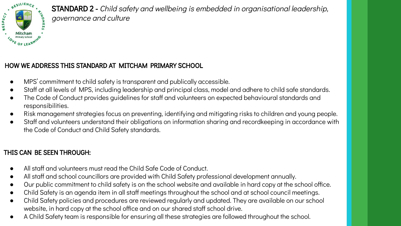

STANDARD 2 - Child safety and wellbeing is embedded in organisational leadership, governance and culture

#### HOW WE ADDRESS THIS STANDARD AT MITCHAM PRIMARY SCHOOL

- MPS' commitment to child safety is transparent and publically accessible.
- Staff at all levels of MPS, including leadership and principal class, model and adhere to child safe standards.
- The Code of Conduct provides guidelines for staff and volunteers on expected behavioural standards and responsibilities.
- Risk management strategies focus on preventing, identifying and mitigating risks to children and young people.
- Staff and volunteers understand their obligations on information sharing and recordkeeping in accordance with the Code of Conduct and Child Safety standards.

- All staff and volunteers must read the Child Safe Code of Conduct.
- All staff and school councillors are provided with Child Safety professional development annually.
- Our public commitment to child safety is on the school website and available in hard copy at the school office.
- Child Safety is an agenda item in all staff meetings throughout the school and at school council meetings.
- Child Safety policies and procedures are reviewed regularly and updated. They are available on our school website, in hard copy at the school office and on our shared staff school drive.
- A Child Safety team is responsible for ensuring all these strategies are followed throughout the school.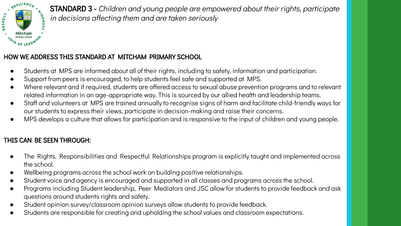

STANDARD 3 - Children and young people are empowered about their rights, participate in decisions affecting them and are taken seriously

#### HOW WE ADDRESS THIS STANDARD AT MITCHAM PRIMARY SCHOOL

- Students at MPS are informed about all of their rights, including to safety, information and participation.
- Support from peers is encouraged, to help students feel safe and supported at MPS.
- Where relevant and if required, students are offered access to sexual abuse prevention programs and to relevant related information in an age-appropriate way. This is sourced by our allied health and leadership teams.
- Staff and volunteers at MPS are trained annually to recognise signs of harm and facilitate child-friendly ways for our students to express their views, participate in decision-making and raise their concerns.
- MPS develops a culture that allows for participation and is responsive to the input of children and young people.

- The Rights, Responsibilities and Respectful Relationships program is explicitly taught and implemented across the school.
- Wellbeing programs across the school work on building positive relationships.
- Student voice and agency is encouraged and supported in all classes and programs across the school.
- Programs including Student leadership, Peer Mediators and JSC allow for students to provide feedback and ask questions around students rights and safety.
- Student opinion survey/classroom opinion surveys allow students to provide feedback.
- Students are responsible for creating and upholding the school values and classroom expectations.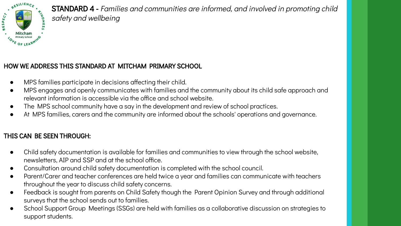

STANDARD 4 - Families and communities are informed, and involved in promoting child safety and wellbeing

#### HOW WE ADDRESS THIS STANDARD AT MITCHAM PRIMARY SCHOOL

- MPS families participate in decisions affecting their child.
- MPS engages and openly communicates with families and the community about its child safe approach and relevant information is accessible via the office and school website.
- The MPS school community have a say in the development and review of school practices.
- At MPS families, carers and the community are informed about the schools' operations and governance.

- Child safety documentation is available for families and communities to view through the school website, newsletters, AIP and SSP and at the school office.
- Consultation around child safety documentation is completed with the school council.
- Parent/Carer and teacher conferences are held twice a year and families can communicate with teachers throughout the year to discuss child safety concerns.
- Feedback is sought from parents on Child Safety though the Parent Opinion Survey and through additional surveys that the school sends out to families.
- School Support Group Meetings (SSGs) are held with families as a collaborative discussion on strategies to support students.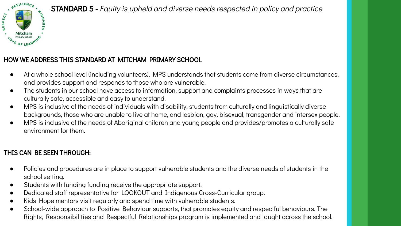

# STANDARD 5 - Equity is upheld and diverse needs respected in policy and practice

#### HOW WE ADDRESS THIS STANDARD AT MITCHAM PRIMARY SCHOOL

- At a whole school level (including volunteers), MPS understands that students come from diverse circumstances, and provides support and responds to those who are vulnerable.
- The students in our school have access to information, support and complaints processes in ways that are culturally safe, accessible and easy to understand.
- MPS is inclusive of the needs of individuals with disability, students from culturally and linguistically diverse backgrounds, those who are unable to live at home, and lesbian, gay, bisexual, transgender and intersex people.
- MPS is inclusive of the needs of Aboriginal children and young people and provides/promotes a culturally safe environment for them.

- Policies and procedures are in place to support vulnerable students and the diverse needs of students in the school setting.
- Students with funding funding receive the appropriate support.
- Dedicated staff representative for LOOKOUT and Indigenous Cross-Curricular group.
- Kids Hope mentors visit regularly and spend time with vulnerable students.
- School-wide approach to Positive Behaviour supports, that promotes equity and respectful behaviours. The Rights, Responsibilities and Respectful Relationships program is implemented and taught across the school.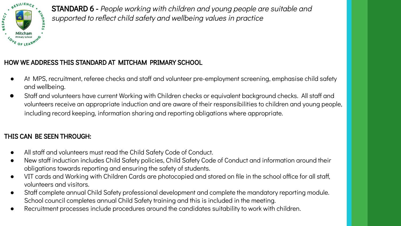

STANDARD 6 - People working with children and young people are suitable and supported to reflect child safety and wellbeing values in practice

#### HOW WE ADDRESS THIS STANDARD AT MITCHAM PRIMARY SCHOOL

- At MPS, recruitment, referee checks and staff and volunteer pre-employment screening, emphasise child safety and wellbeing.
- Staff and volunteers have current Working with Children checks or equivalent background checks. All staff and volunteers receive an appropriate induction and are aware of their responsibilities to children and young people, including record keeping, information sharing and reporting obligations where appropriate.

- All staff and volunteers must read the Child Safety Code of Conduct.
- New staff induction includes Child Safety policies, Child Safety Code of Conduct and information around their obligations towards reporting and ensuring the safety of students.
- VIT cards and Working with Children Cards are photocopied and stored on file in the school office for all staff, volunteers and visitors.
- Staff complete annual Child Safety professional development and complete the mandatory reporting module. School council completes annual Child Safety training and this is included in the meeting.
- Recruitment processes include procedures around the candidates suitability to work with children.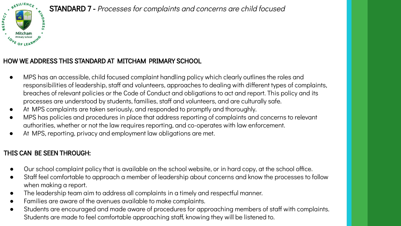

#### STANDARD 7 - Processes for complaints and concerns are child focused

#### HOW WE ADDRESS THIS STANDARD AT MITCHAM PRIMARY SCHOOL

- MPS has an accessible, child focused complaint handling policy which clearly outlines the roles and responsibilities of leadership, staff and volunteers, approaches to dealing with different types of complaints, breaches of relevant policies or the Code of Conduct and obligations to act and report. This policy and its processes are understood by students, families, staff and volunteers, and are culturally safe.
- At MPS complaints are taken seriously, and responded to promptly and thoroughly.
- MPS has policies and procedures in place that address reporting of complaints and concerns to relevant authorities, whether or not the law requires reporting, and co-operates with law enforcement.
- At MPS, reporting, privacy and employment law obligations are met.

- Our school complaint policy that is available on the school website, or in hard copy, at the school office.
- Staff feel comfortable to approach a member of leadership about concerns and know the processes to follow when making a report.
- The leadership team aim to address all complaints in a timely and respectful manner.
- Families are aware of the avenues available to make complaints.
- Students are encouraged and made aware of procedures for approaching members of staff with complaints. Students are made to feel comfortable approaching staff, knowing they will be listened to.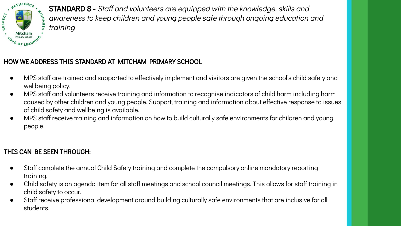

STANDARD 8 - Staff and volunteers are equipped with the knowledge, skills and awareness to keep children and young people safe through ongoing education and training

### HOW WE ADDRESS THIS STANDARD AT MITCHAM PRIMARY SCHOOL

- MPS staff are trained and supported to effectively implement and visitors are given the school's child safety and wellbeing policy.
- MPS staff and volunteers receive training and information to recognise indicators of child harm including harm caused by other children and young people. Support, training and information about effective response to issues of child safety and wellbeing is available.
- MPS staff receive training and information on how to build culturally safe environments for children and young people.

- Staff complete the annual Child Safety training and complete the compulsory online mandatory reporting training.
- Child safety is an agenda item for all staff meetings and school council meetings. This allows for staff training in child safety to occur.
- Staff receive professional development around building culturally safe environments that are inclusive for all students.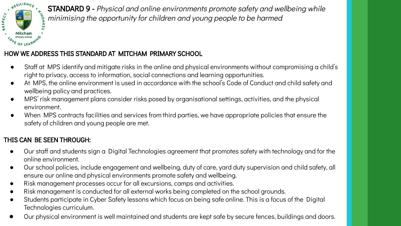

STANDARD 9 - Physical and online environments promote safety and wellbeing while minimising the opportunity for children and young people to be harmed

#### HOW WE ADDRESS THIS STANDARD AT MITCHAM PRIMARY SCHOOL

- Staff at MPS identify and mitigate risks in the online and physical environments without compromising a child's right to privacy, access to information, social connections and learning opportunities.
- At MPS, the online environment is used in accordance with the school's Code of Conduct and child safety and wellbeing policy and practices.
- MPS' risk management plans consider risks posed by organisational settings, activities, and the physical environment.
- When MPS contracts facilities and services from third parties, we have appropriate policies that ensure the safety of children and young people are met.

- Our staff and students sign a Digital Technologies agreement that promotes safety with technology and for the online environment.
- Our school policies, include engagement and wellbeing, duty of care, yard duty supervision and child safety, all ensure our online and physical environments promote safety and wellbeing.
- Risk management processes occur for all excursions, camps and activities.
- Risk management is conducted for all external works being completed on the school grounds.
- Students participate in Cyber Safety lessons which focus on being safe online. This is a focus of the Digital Technologies curriculum.
- Our physical environment is well maintained and students are kept safe by secure fences, buildings and doors.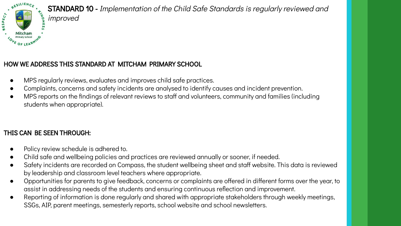

# HOW WE ADDRESS THIS STANDARD AT MITCHAM PRIMARY SCHOOL

- MPS regularly reviews, evaluates and improves child safe practices.
- Complaints, concerns and safety incidents are analysed to identify causes and incident prevention.
- MPS reports on the findings of relevant reviews to staff and volunteers, community and families (including students when appropriate).

- Policy review schedule is adhered to.
- Child safe and wellbeing policies and practices are reviewed annually or sooner, if needed.
- Safety incidents are recorded on Compass, the student wellbeing sheet and staff website. This data is reviewed by leadership and classroom level teachers where appropriate.
- Opportunities for parents to give feedback, concerns or complaints are offered in different forms over the year, to assist in addressing needs of the students and ensuring continuous reflection and improvement.
- Reporting of information is done regularly and shared with appropriate stakeholders through weekly meetings, SSGs, AIP, parent meetings, semesterly reports, school website and school newsletters.